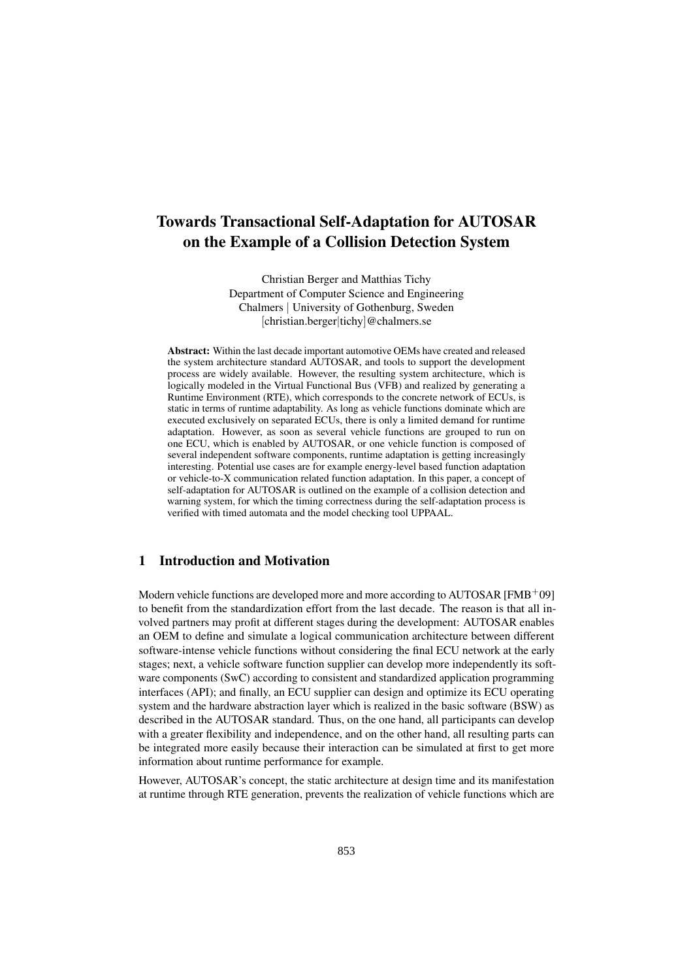# Towards Transactional Self-Adaptation for AUTOSAR on the Example of a Collision Detection System

Christian Berger and Matthias Tichy Department of Computer Science and Engineering Chalmers | University of Gothenburg, Sweden [christian.berger|tichy]@chalmers.se

Abstract: Within the last decade important automotive OEMs have created and released the system architecture standard AUTOSAR, and tools to support the development process are widely available. However, the resulting system architecture, which is logically modeled in the Virtual Functional Bus (VFB) and realized by generating a Runtime Environment (RTE), which corresponds to the concrete network of ECUs, is static in terms of runtime adaptability. As long as vehicle functions dominate which are executed exclusively on separated ECUs, there is only a limited demand for runtime adaptation. However, as soon as several vehicle functions are grouped to run on one ECU, which is enabled by AUTOSAR, or one vehicle function is composed of several independent software components, runtime adaptation is getting increasingly interesting. Potential use cases are for example energy-level based function adaptation or vehicle-to-X communication related function adaptation. In this paper, a concept of self-adaptation for AUTOSAR is outlined on the example of a collision detection and warning system, for which the timing correctness during the self-adaptation process is verified with timed automata and the model checking tool UPPAAL.

### 1 Introduction and Motivation

Modern vehicle functions are developed more and more according to  $\text{AUTOSAR}$  [FMB<sup>+</sup>09] to benefit from the standardization effort from the last decade. The reason is that all involved partners may profit at different stages during the development: AUTOSAR enables an OEM to define and simulate a logical communication architecture between different software-intense vehicle functions without considering the final ECU network at the early stages; next, a vehicle software function supplier can develop more independently its software components (SwC) according to consistent and standardized application programming interfaces (API); and finally, an ECU supplier can design and optimize its ECU operating system and the hardware abstraction layer which is realized in the basic software (BSW) as described in the AUTOSAR standard. Thus, on the one hand, all participants can develop with a greater flexibility and independence, and on the other hand, all resulting parts can be integrated more easily because their interaction can be simulated at first to get more information about runtime performance for example.

However, AUTOSAR's concept, the static architecture at design time and its manifestation at runtime through RTE generation, prevents the realization of vehicle functions which are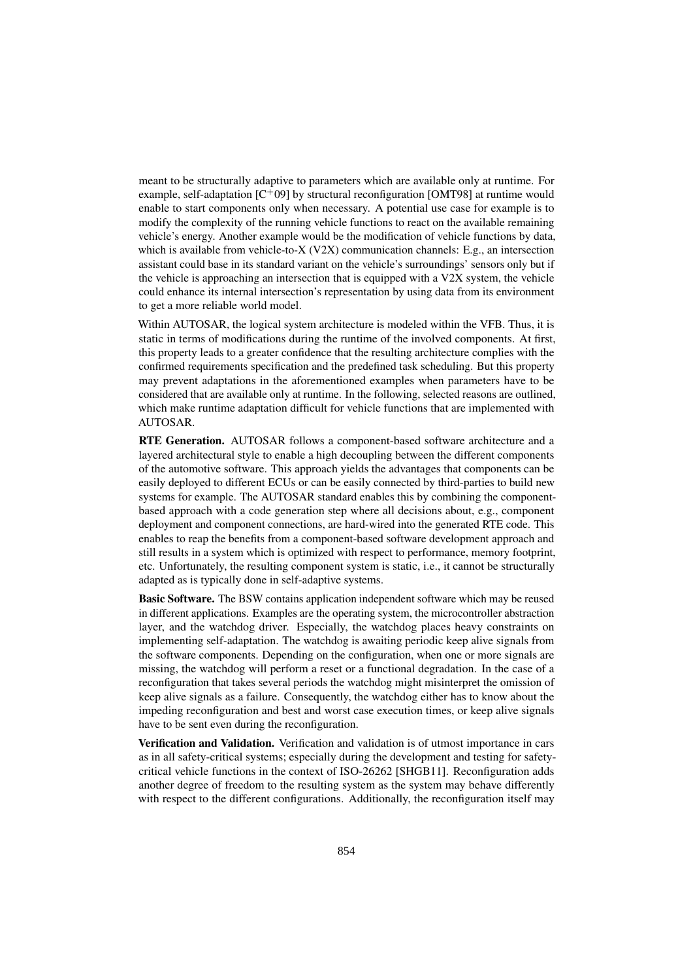meant to be structurally adaptive to parameters which are available only at runtime. For example, self-adaptation [C<sup>+</sup>09] by structural reconfiguration [OMT98] at runtime would enable to start components only when necessary. A potential use case for example is to modify the complexity of the running vehicle functions to react on the available remaining vehicle's energy. Another example would be the modification of vehicle functions by data, which is available from vehicle-to-X ( $V2X$ ) communication channels: E.g., an intersection assistant could base in its standard variant on the vehicle's surroundings' sensors only but if the vehicle is approaching an intersection that is equipped with a V2X system, the vehicle could enhance its internal intersection's representation by using data from its environment to get a more reliable world model.

Within AUTOSAR, the logical system architecture is modeled within the VFB. Thus, it is static in terms of modifications during the runtime of the involved components. At first, this property leads to a greater confidence that the resulting architecture complies with the confirmed requirements specification and the predefined task scheduling. But this property may prevent adaptations in the aforementioned examples when parameters have to be considered that are available only at runtime. In the following, selected reasons are outlined, which make runtime adaptation difficult for vehicle functions that are implemented with AUTOSAR.

RTE Generation. AUTOSAR follows a component-based software architecture and a layered architectural style to enable a high decoupling between the different components of the automotive software. This approach yields the advantages that components can be easily deployed to different ECUs or can be easily connected by third-parties to build new systems for example. The AUTOSAR standard enables this by combining the componentbased approach with a code generation step where all decisions about, e.g., component deployment and component connections, are hard-wired into the generated RTE code. This enables to reap the benefits from a component-based software development approach and still results in a system which is optimized with respect to performance, memory footprint, etc. Unfortunately, the resulting component system is static, i.e., it cannot be structurally adapted as is typically done in self-adaptive systems.

Basic Software. The BSW contains application independent software which may be reused in different applications. Examples are the operating system, the microcontroller abstraction layer, and the watchdog driver. Especially, the watchdog places heavy constraints on implementing self-adaptation. The watchdog is awaiting periodic keep alive signals from the software components. Depending on the configuration, when one or more signals are missing, the watchdog will perform a reset or a functional degradation. In the case of a reconfiguration that takes several periods the watchdog might misinterpret the omission of keep alive signals as a failure. Consequently, the watchdog either has to know about the impeding reconfiguration and best and worst case execution times, or keep alive signals have to be sent even during the reconfiguration.

Verification and Validation. Verification and validation is of utmost importance in cars as in all safety-critical systems; especially during the development and testing for safetycritical vehicle functions in the context of ISO-26262 [SHGB11]. Reconfiguration adds another degree of freedom to the resulting system as the system may behave differently with respect to the different configurations. Additionally, the reconfiguration itself may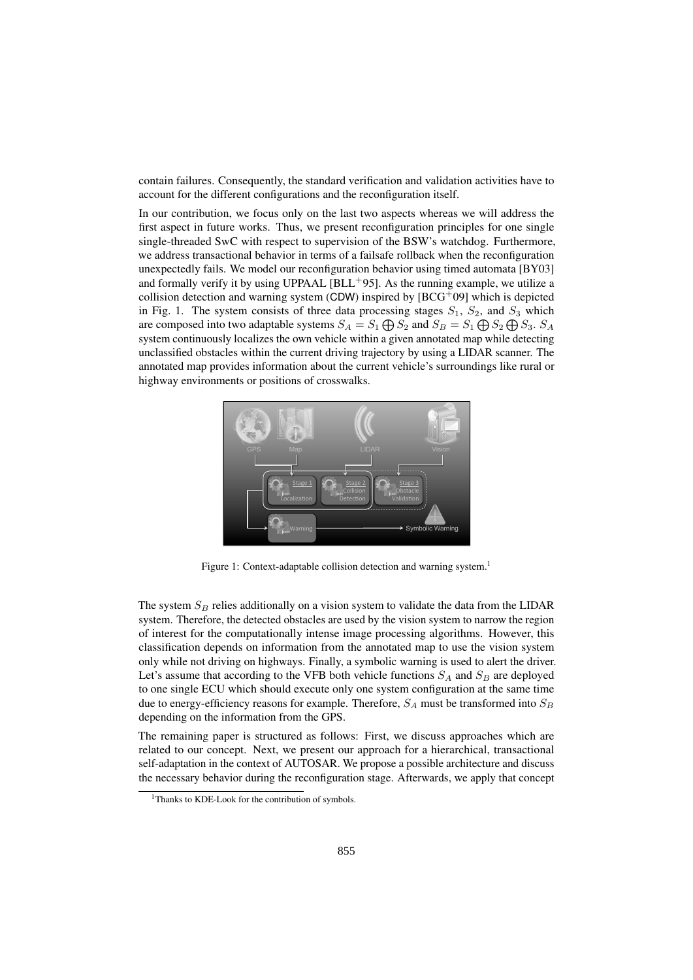contain failures. Consequently, the standard verification and validation activities have to account for the different configurations and the reconfiguration itself.

In our contribution, we focus only on the last two aspects whereas we will address the first aspect in future works. Thus, we present reconfiguration principles for one single single-threaded SwC with respect to supervision of the BSW's watchdog. Furthermore, we address transactional behavior in terms of a failsafe rollback when the reconfiguration unexpectedly fails. We model our reconfiguration behavior using timed automata [BY03] and formally verify it by using UPPAAL  $[BL<sup>+</sup>95]$ . As the running example, we utilize a collision detection and warning system (CDW) inspired by  $[BCG<sup>+</sup>09]$  which is depicted in Fig. 1. The system consists of three data processing stages  $S_1$ ,  $S_2$ , and  $S_3$  which are composed into two adaptable systems  $S_A = S_1 \bigoplus S_2$  and  $S_B = S_1 \bigoplus S_2 \bigoplus S_3$ .  $S_A$ system continuously localizes the own vehicle within a given annotated map while detecting unclassified obstacles within the current driving trajectory by using a LIDAR scanner. The annotated map provides information about the current vehicle's surroundings like rural or highway environments or positions of crosswalks.



Figure 1: Context-adaptable collision detection and warning system.<sup>1</sup>

The system  $S_B$  relies additionally on a vision system to validate the data from the LIDAR system. Therefore, the detected obstacles are used by the vision system to narrow the region of interest for the computationally intense image processing algorithms. However, this classification depends on information from the annotated map to use the vision system only while not driving on highways. Finally, a symbolic warning is used to alert the driver. Let's assume that according to the VFB both vehicle functions  $S_A$  and  $S_B$  are deployed to one single ECU which should execute only one system configuration at the same time due to energy-efficiency reasons for example. Therefore,  $S_A$  must be transformed into  $S_B$ depending on the information from the GPS.

The remaining paper is structured as follows: First, we discuss approaches which are related to our concept. Next, we present our approach for a hierarchical, transactional self-adaptation in the context of AUTOSAR. We propose a possible architecture and discuss the necessary behavior during the reconfiguration stage. Afterwards, we apply that concept

<sup>&</sup>lt;sup>1</sup>Thanks to KDE-Look for the contribution of symbols.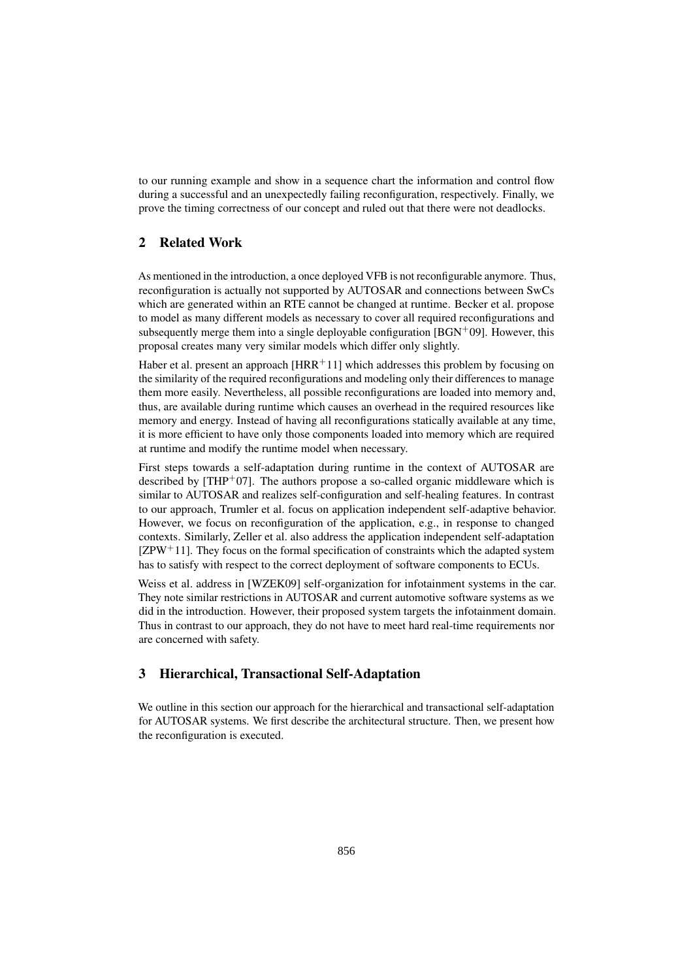to our running example and show in a sequence chart the information and control flow during a successful and an unexpectedly failing reconfiguration, respectively. Finally, we prove the timing correctness of our concept and ruled out that there were not deadlocks.

## 2 Related Work

As mentioned in the introduction, a once deployed VFB is not reconfigurable anymore. Thus, reconfiguration is actually not supported by AUTOSAR and connections between SwCs which are generated within an RTE cannot be changed at runtime. Becker et al. propose to model as many different models as necessary to cover all required reconfigurations and subsequently merge them into a single deployable configuration  $[**BGN** + **09**]$ . However, this proposal creates many very similar models which differ only slightly.

Haber et al. present an approach  $[HRR+11]$  which addresses this problem by focusing on the similarity of the required reconfigurations and modeling only their differences to manage them more easily. Nevertheless, all possible reconfigurations are loaded into memory and, thus, are available during runtime which causes an overhead in the required resources like memory and energy. Instead of having all reconfigurations statically available at any time, it is more efficient to have only those components loaded into memory which are required at runtime and modify the runtime model when necessary.

First steps towards a self-adaptation during runtime in the context of AUTOSAR are described by  $[THP<sup>+</sup>07]$ . The authors propose a so-called organic middleware which is similar to AUTOSAR and realizes self-configuration and self-healing features. In contrast to our approach, Trumler et al. focus on application independent self-adaptive behavior. However, we focus on reconfiguration of the application, e.g., in response to changed contexts. Similarly, Zeller et al. also address the application independent self-adaptation  $[ZPW^+11]$ . They focus on the formal specification of constraints which the adapted system has to satisfy with respect to the correct deployment of software components to ECUs.

Weiss et al. address in [WZEK09] self-organization for infotainment systems in the car. They note similar restrictions in AUTOSAR and current automotive software systems as we did in the introduction. However, their proposed system targets the infotainment domain. Thus in contrast to our approach, they do not have to meet hard real-time requirements nor are concerned with safety.

# 3 Hierarchical, Transactional Self-Adaptation

We outline in this section our approach for the hierarchical and transactional self-adaptation for AUTOSAR systems. We first describe the architectural structure. Then, we present how the reconfiguration is executed.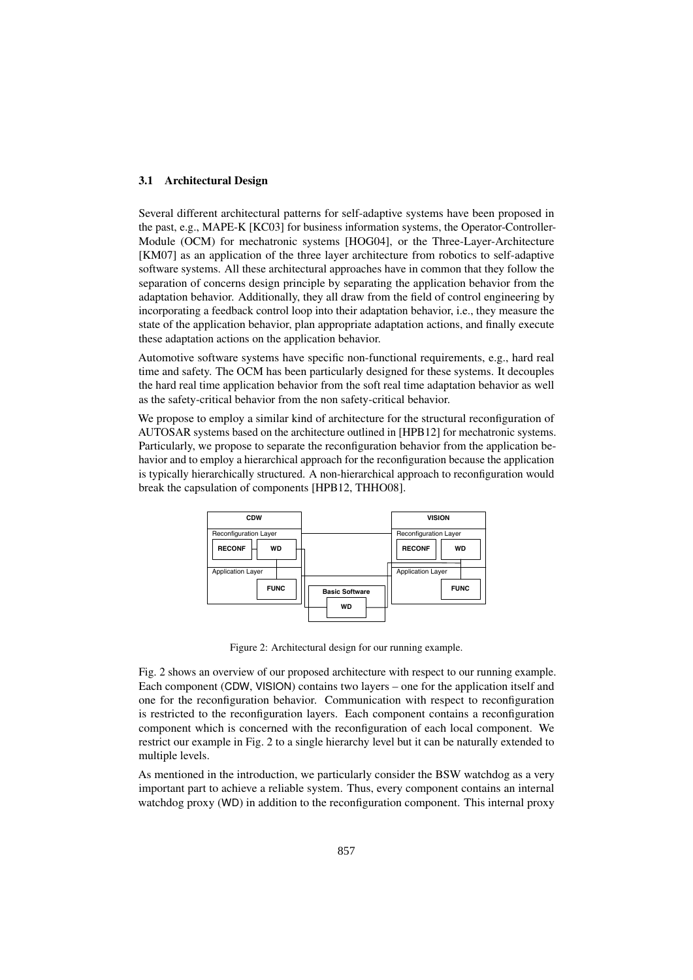### 3.1 Architectural Design

Several different architectural patterns for self-adaptive systems have been proposed in the past, e.g., MAPE-K [KC03] for business information systems, the Operator-Controller-Module (OCM) for mechatronic systems [HOG04], or the Three-Layer-Architecture [KM07] as an application of the three layer architecture from robotics to self-adaptive software systems. All these architectural approaches have in common that they follow the separation of concerns design principle by separating the application behavior from the adaptation behavior. Additionally, they all draw from the field of control engineering by incorporating a feedback control loop into their adaptation behavior, i.e., they measure the state of the application behavior, plan appropriate adaptation actions, and finally execute these adaptation actions on the application behavior.

Automotive software systems have specific non-functional requirements, e.g., hard real time and safety. The OCM has been particularly designed for these systems. It decouples the hard real time application behavior from the soft real time adaptation behavior as well as the safety-critical behavior from the non safety-critical behavior.

We propose to employ a similar kind of architecture for the structural reconfiguration of AUTOSAR systems based on the architecture outlined in [HPB12] for mechatronic systems. Particularly, we propose to separate the reconfiguration behavior from the application behavior and to employ a hierarchical approach for the reconfiguration because the application is typically hierarchically structured. A non-hierarchical approach to reconfiguration would break the capsulation of components [HPB12, THHO08].



Figure 2: Architectural design for our running example.

Fig. 2 shows an overview of our proposed architecture with respect to our running example. Each component (CDW, VISION) contains two layers – one for the application itself and one for the reconfiguration behavior. Communication with respect to reconfiguration is restricted to the reconfiguration layers. Each component contains a reconfiguration component which is concerned with the reconfiguration of each local component. We restrict our example in Fig. 2 to a single hierarchy level but it can be naturally extended to multiple levels.

As mentioned in the introduction, we particularly consider the BSW watchdog as a very important part to achieve a reliable system. Thus, every component contains an internal watchdog proxy (WD) in addition to the reconfiguration component. This internal proxy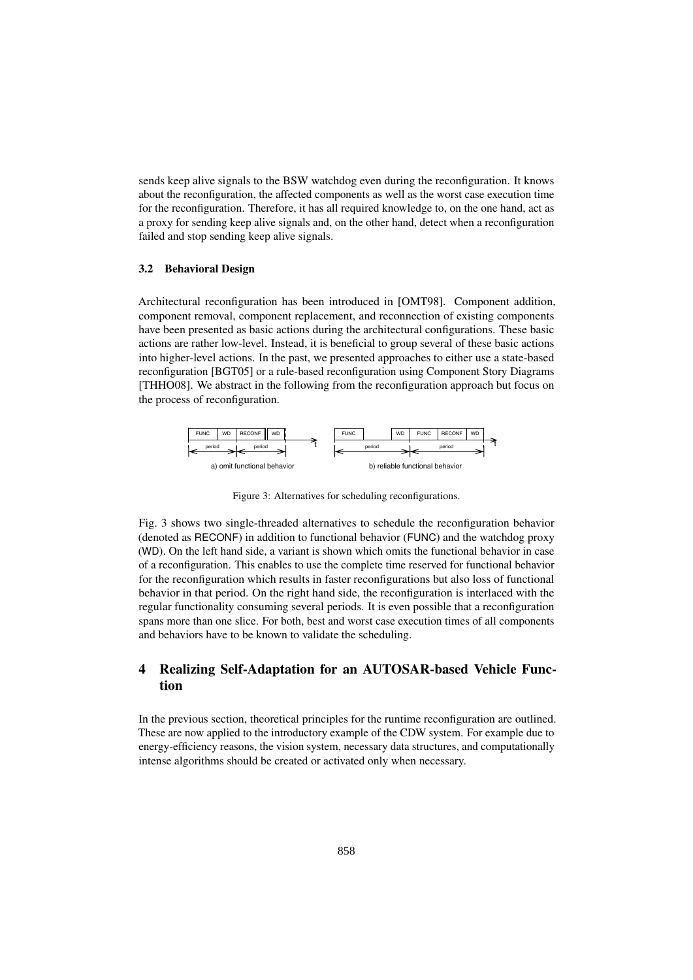sends keep alive signals to the BSW watchdog even during the reconfiguration. It knows about the reconfiguration, the affected components as well as the worst case execution time for the reconfiguration. Therefore, it has all required knowledge to, on the one hand, act as a proxy for sending keep alive signals and, on the other hand, detect when a reconfiguration failed and stop sending keep alive signals.

#### 3.2 Behavioral Design

Architectural reconfiguration has been introduced in [OMT98]. Component addition, component removal, component replacement, and reconnection of existing components have been presented as basic actions during the architectural configurations. These basic actions are rather low-level. Instead, it is beneficial to group several of these basic actions into higher-level actions. In the past, we presented approaches to either use a state-based reconfiguration [BGT05] or a rule-based reconfiguration using Component Story Diagrams [THHO08]. We abstract in the following from the reconfiguration approach but focus on the process of reconfiguration.



Figure 3: Alternatives for scheduling reconfigurations.

Fig. 3 shows two single-threaded alternatives to schedule the reconfiguration behavior (denoted as RECONF) in addition to functional behavior (FUNC) and the watchdog proxy (WD). On the left hand side, a variant is shown which omits the functional behavior in case of a reconfiguration. This enables to use the complete time reserved for functional behavior for the reconfiguration which results in faster reconfigurations but also loss of functional behavior in that period. On the right hand side, the reconfiguration is interlaced with the regular functionality consuming several periods. It is even possible that a reconfiguration spans more than one slice. For both, best and worst case execution times of all components and behaviors have to be known to validate the scheduling.

## 4 Realizing Self-Adaptation for an AUTOSAR-based Vehicle Function

In the previous section, theoretical principles for the runtime reconfiguration are outlined. These are now applied to the introductory example of the CDW system. For example due to energy-efficiency reasons, the vision system, necessary data structures, and computationally intense algorithms should be created or activated only when necessary.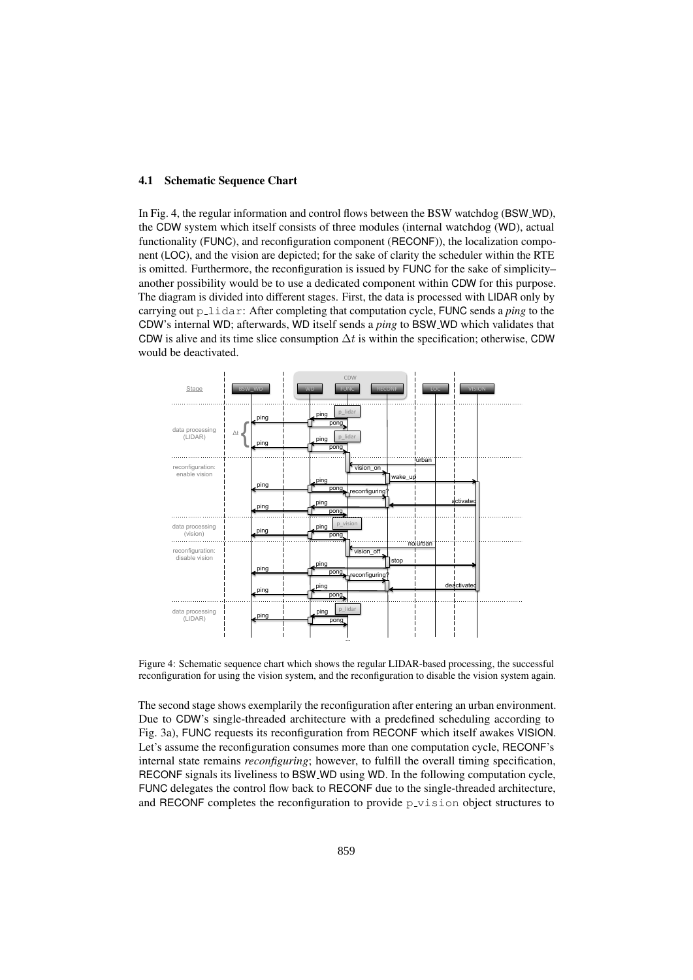#### 4.1 Schematic Sequence Chart

In Fig. 4, the regular information and control flows between the BSW watchdog (BSW WD), the CDW system which itself consists of three modules (internal watchdog (WD), actual functionality (FUNC), and reconfiguration component (RECONF)), the localization component (LOC), and the vision are depicted; for the sake of clarity the scheduler within the RTE is omitted. Furthermore, the reconfiguration is issued by FUNC for the sake of simplicity– another possibility would be to use a dedicated component within CDW for this purpose. The diagram is divided into different stages. First, the data is processed with LIDAR only by carrying out p lidar: After completing that computation cycle, FUNC sends a *ping* to the CDW's internal WD; afterwards, WD itself sends a *ping* to BSW WD which validates that CDW is alive and its time slice consumption  $\Delta t$  is within the specification; otherwise, CDW would be deactivated.



Figure 4: Schematic sequence chart which shows the regular LIDAR-based processing, the successful reconfiguration for using the vision system, and the reconfiguration to disable the vision system again.

The second stage shows exemplarily the reconfiguration after entering an urban environment. Due to CDW's single-threaded architecture with a predefined scheduling according to Fig. 3a), FUNC requests its reconfiguration from RECONF which itself awakes VISION. Let's assume the reconfiguration consumes more than one computation cycle, RECONF's internal state remains *reconfiguring*; however, to fulfill the overall timing specification, RECONF signals its liveliness to BSW WD using WD. In the following computation cycle, FUNC delegates the control flow back to RECONF due to the single-threaded architecture, and RECONF completes the reconfiguration to provide p vision object structures to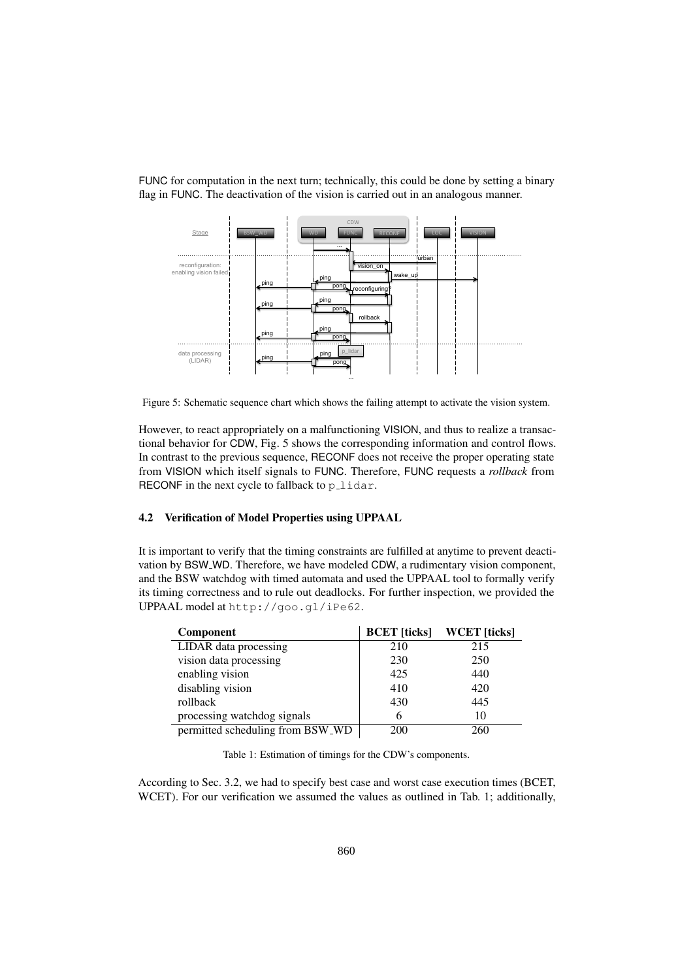FUNC for computation in the next turn; technically, this could be done by setting a binary flag in FUNC. The deactivation of the vision is carried out in an analogous manner.



Figure 5: Schematic sequence chart which shows the failing attempt to activate the vision system.

However, to react appropriately on a malfunctioning VISION, and thus to realize a transactional behavior for CDW, Fig. 5 shows the corresponding information and control flows. In contrast to the previous sequence, RECONF does not receive the proper operating state from VISION which itself signals to FUNC. Therefore, FUNC requests a *rollback* from RECONF in the next cycle to fallback to  $p$ -lidar.

### 4.2 Verification of Model Properties using UPPAAL

It is important to verify that the timing constraints are fulfilled at anytime to prevent deactivation by BSW WD. Therefore, we have modeled CDW, a rudimentary vision component, and the BSW watchdog with timed automata and used the UPPAAL tool to formally verify its timing correctness and to rule out deadlocks. For further inspection, we provided the UPPAAL model at http://goo.gl/iPe62.

| Component                        |     | <b>BCET</b> [ticks] WCET [ticks] |
|----------------------------------|-----|----------------------------------|
| LIDAR data processing            | 210 | 215                              |
| vision data processing           | 230 | 250                              |
| enabling vision                  | 425 | 440                              |
| disabling vision                 | 410 | 420                              |
| rollback                         | 430 | 445                              |
| processing watchdog signals      | 6   | 10                               |
| permitted scheduling from BSW_WD | 200 | 260                              |

Table 1: Estimation of timings for the CDW's components.

According to Sec. 3.2, we had to specify best case and worst case execution times (BCET, WCET). For our verification we assumed the values as outlined in Tab. 1; additionally,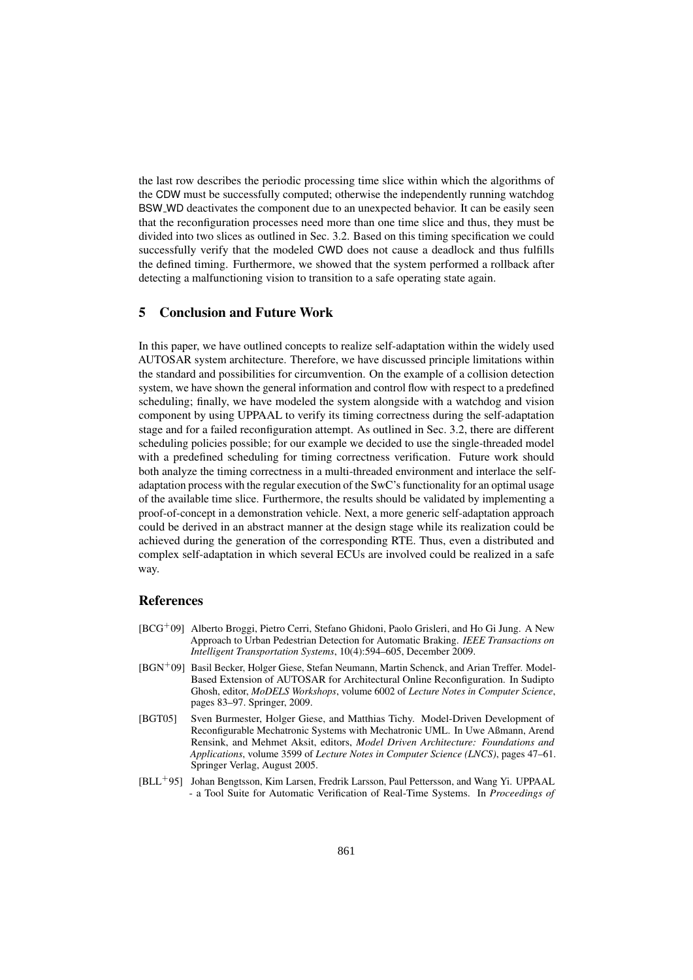the last row describes the periodic processing time slice within which the algorithms of the CDW must be successfully computed; otherwise the independently running watchdog BSW WD deactivates the component due to an unexpected behavior. It can be easily seen that the reconfiguration processes need more than one time slice and thus, they must be divided into two slices as outlined in Sec. 3.2. Based on this timing specification we could successfully verify that the modeled CWD does not cause a deadlock and thus fulfills the defined timing. Furthermore, we showed that the system performed a rollback after detecting a malfunctioning vision to transition to a safe operating state again.

### 5 Conclusion and Future Work

In this paper, we have outlined concepts to realize self-adaptation within the widely used AUTOSAR system architecture. Therefore, we have discussed principle limitations within the standard and possibilities for circumvention. On the example of a collision detection system, we have shown the general information and control flow with respect to a predefined scheduling; finally, we have modeled the system alongside with a watchdog and vision component by using UPPAAL to verify its timing correctness during the self-adaptation stage and for a failed reconfiguration attempt. As outlined in Sec. 3.2, there are different scheduling policies possible; for our example we decided to use the single-threaded model with a predefined scheduling for timing correctness verification. Future work should both analyze the timing correctness in a multi-threaded environment and interlace the selfadaptation process with the regular execution of the SwC's functionality for an optimal usage of the available time slice. Furthermore, the results should be validated by implementing a proof-of-concept in a demonstration vehicle. Next, a more generic self-adaptation approach could be derived in an abstract manner at the design stage while its realization could be achieved during the generation of the corresponding RTE. Thus, even a distributed and complex self-adaptation in which several ECUs are involved could be realized in a safe way.

## References

- [BCG<sup>+</sup>09] Alberto Broggi, Pietro Cerri, Stefano Ghidoni, Paolo Grisleri, and Ho Gi Jung. A New Approach to Urban Pedestrian Detection for Automatic Braking. *IEEE Transactions on Intelligent Transportation Systems*, 10(4):594–605, December 2009.
- [BGN<sup>+</sup>09] Basil Becker, Holger Giese, Stefan Neumann, Martin Schenck, and Arian Treffer. Model-Based Extension of AUTOSAR for Architectural Online Reconfiguration. In Sudipto Ghosh, editor, *MoDELS Workshops*, volume 6002 of *Lecture Notes in Computer Science*, pages 83–97. Springer, 2009.
- [BGT05] Sven Burmester, Holger Giese, and Matthias Tichy. Model-Driven Development of Reconfigurable Mechatronic Systems with Mechatronic UML. In Uwe Aßmann, Arend Rensink, and Mehmet Aksit, editors, *Model Driven Architecture: Foundations and Applications*, volume 3599 of *Lecture Notes in Computer Science (LNCS)*, pages 47–61. Springer Verlag, August 2005.
- [BLL<sup>+</sup>95] Johan Bengtsson, Kim Larsen, Fredrik Larsson, Paul Pettersson, and Wang Yi. UPPAAL - a Tool Suite for Automatic Verification of Real-Time Systems. In *Proceedings of*